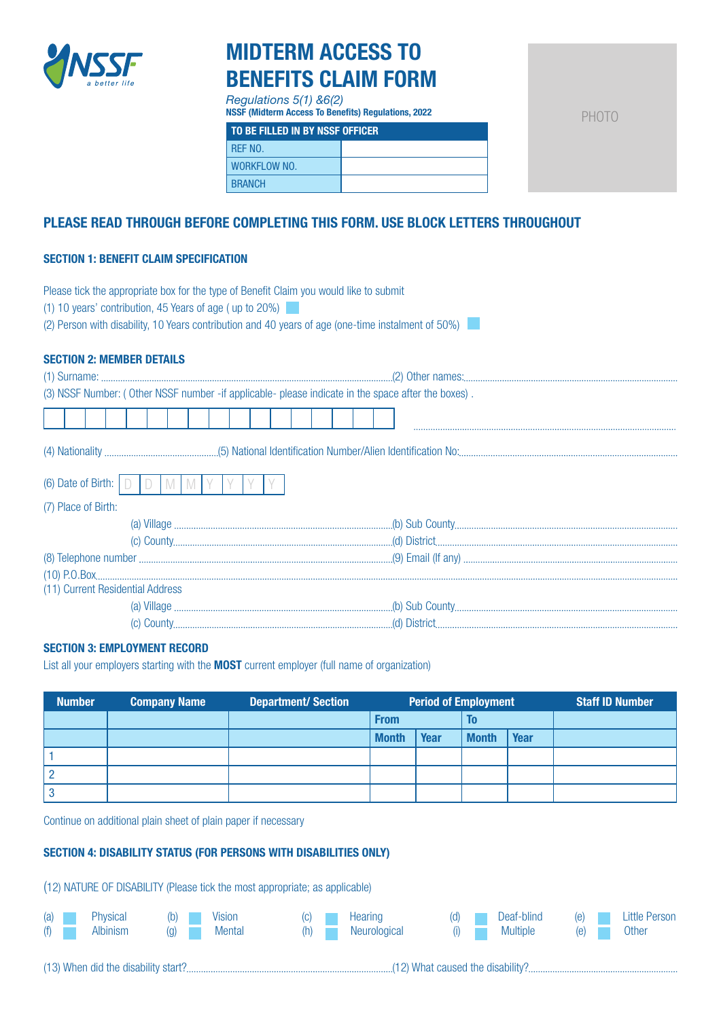

# MIDTERM ACCESS TO BENEFITS CLAIM FORM

*Regulations 5(1) &6(2)* NSSF (Midterm Access To Benefits) Regulations, 2022

PHOTO

| TO BE FILLED IN BY NSSF OFFICER |  |  |
|---------------------------------|--|--|
| RFF NO.                         |  |  |
| WORKFLOW NO.                    |  |  |
| <b>BRANCH</b>                   |  |  |

## PLEASE READ THROUGH BEFORE COMPLETING THIS FORM. USE BLOCK LETTERS THROUGHOUT

## SECTION 1: BENEFIT CLAIM SPECIFICATION

| Please tick the appropriate box for the type of Benefit Claim you would like to submit<br>$(1)$ 10 years' contribution, 45 Years of age (up to 20%)<br>(2) Person with disability, 10 Years contribution and 40 years of age (one-time instalment of 50%)                                                                                                                                                                                                 |
|-----------------------------------------------------------------------------------------------------------------------------------------------------------------------------------------------------------------------------------------------------------------------------------------------------------------------------------------------------------------------------------------------------------------------------------------------------------|
| <b>SECTION 2: MEMBER DETAILS</b>                                                                                                                                                                                                                                                                                                                                                                                                                          |
|                                                                                                                                                                                                                                                                                                                                                                                                                                                           |
| (3) NSSF Number: (Other NSSF number -if applicable- please indicate in the space after the boxes).                                                                                                                                                                                                                                                                                                                                                        |
|                                                                                                                                                                                                                                                                                                                                                                                                                                                           |
|                                                                                                                                                                                                                                                                                                                                                                                                                                                           |
| (6) Date of Birth: $\Box$ $\Box$<br>M                                                                                                                                                                                                                                                                                                                                                                                                                     |
| (7) Place of Birth:                                                                                                                                                                                                                                                                                                                                                                                                                                       |
|                                                                                                                                                                                                                                                                                                                                                                                                                                                           |
|                                                                                                                                                                                                                                                                                                                                                                                                                                                           |
|                                                                                                                                                                                                                                                                                                                                                                                                                                                           |
|                                                                                                                                                                                                                                                                                                                                                                                                                                                           |
| (11) Current Residential Address                                                                                                                                                                                                                                                                                                                                                                                                                          |
| $\textbf{(a) Village}\,\, \textcolor{red}{\textbf{2000}}\,\, \textcolor{red}{\textbf{2100}}\,\, \textcolor{red}{\textbf{2200}}\,\, \textcolor{red}{\textbf{2200}}\,\, \textcolor{red}{\textbf{2300}}\,\, \textcolor{red}{\textbf{2300}}\,\, \textcolor{red}{\textbf{2400}}\,\, \textcolor{red}{\textbf{2500}}\,\, \textcolor{red}{\textbf{2600}}\,\, \textcolor{red}{\textbf{2800}}\,\, \textcolor{red}{\textbf{(a) S100}}\,\, \textcolor{red}{\textbf{($ |
|                                                                                                                                                                                                                                                                                                                                                                                                                                                           |

## SECTION 3: EMPLOYMENT RECORD

List all your employers starting with the **MOST** current employer (full name of organization)

| <b>Number</b> | <b>Company Name</b> | <b>Department/Section</b> | <b>Period of Employment</b> |      |              | <b>Staff ID Number</b> |  |
|---------------|---------------------|---------------------------|-----------------------------|------|--------------|------------------------|--|
|               |                     |                           | <b>From</b>                 |      | To           |                        |  |
|               |                     |                           | <b>Month</b>                | Year | <b>Month</b> | Year                   |  |
|               |                     |                           |                             |      |              |                        |  |
|               |                     |                           |                             |      |              |                        |  |
|               |                     |                           |                             |      |              |                        |  |

Continue on additional plain sheet of plain paper if necessary

## SECTION 4: DISABILITY STATUS (FOR PERSONS WITH DISABILITIES ONLY)

(12) NATURE OF DISABILITY (Please tick the most appropriate; as applicable)

| (f) |  | (a) Physical (b) Vision<br>Albinism (g) Mental |  |  |  |  | (c) Hearing<br>(h) Neurological |  |  | (d) Deaf-blind (e) Little Person<br>(i) Multiple (e) (a) |  |  | Other |
|-----|--|------------------------------------------------|--|--|--|--|---------------------------------|--|--|----------------------------------------------------------|--|--|-------|
|-----|--|------------------------------------------------|--|--|--|--|---------------------------------|--|--|----------------------------------------------------------|--|--|-------|

(13) When did the disability start? (12) What caused the disability?